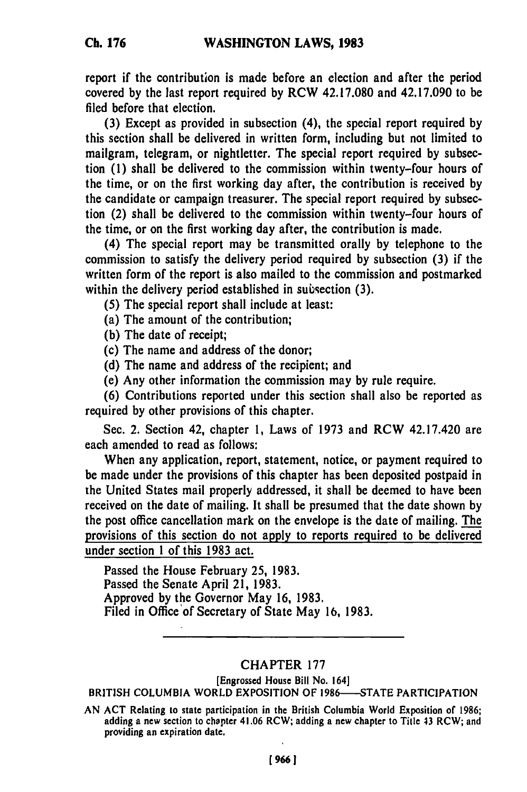**Ch. 176**

report if the contribution is made before an election and after the period covered **by** the last report required **by** RCW **42.17.080** and 42.17.090 to be filed before that election.

**(3)** Except as provided in subsection (4), the special report required **by** this section shall be delivered in written form, including but not limited to mailgram, telegram, or nightletter. The special report required **by** subsection **(I)** shall be delivered to the commission within twenty-four hours of the time, or on the first working day after, the contribution is received **by** the candidate or campaign treasurer. The special report required **by** subsection (2) shall be delivered to the commission within twenty-four hours of the time, or on the first working day after, the contribution is made.

(4) The special report may be transmitted orally **by** telephone to the commission to satisfy the delivery period required **by** subsection **(3)** if the written form of the report is also mailed to the commission and postmarked within the delivery period established in subsection **(3).**

- *(5)* The special report shall include at least:
- (a) The amount of the contribution;
- **(b)** The date of receipt;
- (c) The name and address of the donor;
- **(d)** The name and address of the recipient; and
- (e) Any other information the commission may **by** rule require.

**(6)** Contributions reported under this section shall also be reported as required **by** other provisions of this chapter.

Sec. 2. Section 42, chapter **1,** Laws of **1973** and RCW 42.17.420 are each amended to read as follows:

When any application, report, statement, notice, or payment required to be made under the provisions of this chapter has been deposited postpaid in the United States mail properly addressed, it shall be deemed to have been received on the date of mailing. It shall be presumed that the date shown **by** the post office cancellation mark on the envelope is the date of mailing. The provisions of this section do not apply to reports required to be delivered under section **1** of this **1983** act.

Passed the House February **25, 1983.** Passed the Senate April 21, **1983.** Approved **by** the Governor May **16, 1983.** Filed in Office of Secretary of State May **16, 1983.**

## CHAPTER **177**

[Engrossed House Bill No. 164]

BRITISH **COLUMBIA** WORLD **EXPOSITION** OF **1986--STATE** PARTICIPATION

**AN ACT** Relating to state participation in the British Columbia World Exposition of **1986;** adding a new section to chapter 41.06 RCW; adding a new chapter to Title 43 RCW; and providing an expiration date.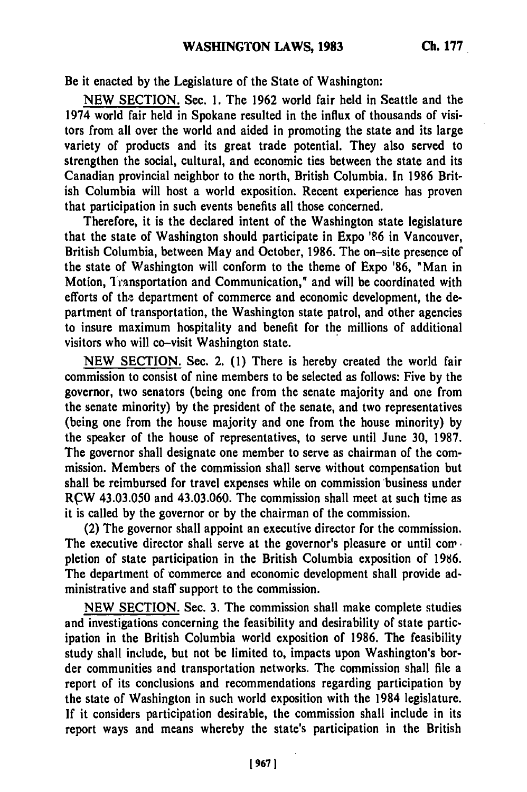Be it enacted **by** the Legislature of the State of Washington:

**NEW SECTION.** Sec. **1.** The **1962** world fair held in Seattle and the 1974 world fair held in Spokane resulted in the influx of thousands of visitors from all over the world and aided in promoting the state and its large variety of products and its great trade potential. They also served to strengthen the social, cultural, and economic ties between the state and its Canadian provincial neighbor to the north, British Columbia. In **1986** British Columbia will host a world exposition. Recent experience has proven that participation in such events benefits all those concerned.

Therefore, it is the declared intent of the Washington state legislature that the state of Washington should participate in Expo **'86** in Vancouver, British Columbia, between May and October, **1986.** The on-site presence of the state of Washington will conform to the theme of Expo **'86,** "Man in Motion, Transportation and Communication," and will be coordinated with efforts of the department of commerce and economic development, the department of transportation, the Washington state patrol, and other agencies to insure maximum hospitality and benefit for the millions of additional visitors who will co-visit Washington state.

**NEW SECTION.** Sec. 2. **(1)** There is hereby created the world fair commission to consist of nine members to be selected as follows: Five **by** the governor, two senators (being one from the senate majority and one from the senate minority) **by** the president of the senate, and two representatives (being one from the house majority and one from the house minority) **by** the speaker of the house of representatives, to serve until June **30, 1987.** The governor shall designate one member to serve as chairman of the commission. Members of the commission shall serve without compensation but shall be reimbursed for travel expenses while on commission business under RCW 43.03.050 and 43.03.060. The commission shall meet at such time as it is called **by** the governor or **by** the chairman of the commission.

(2) The governor shall appoint an executive director for the commission. The executive director shall serve at the governor's pleasure or until com. pletion of state participation in the British Columbia exposition of **1986.** The department of commerce and economic development shall provide administrative and staff support to the commission.

**NEW SECTION.** Sec. **3.** The commission shall make complete studies and investigations concerning the feasibility and desirability of state participation in the British Columbia world exposition of **1986.** The feasibility study shall include, but not be limited to, impacts upon Washington's border communities and transportation networks. The commission shall file a report of its conclusions and recommendations regarding participation **by** the state of Washington in such world exposition with the 1984 legislature. **If** it considers participation desirable, the commission shall include in its report ways and means whereby the state's participation in the British